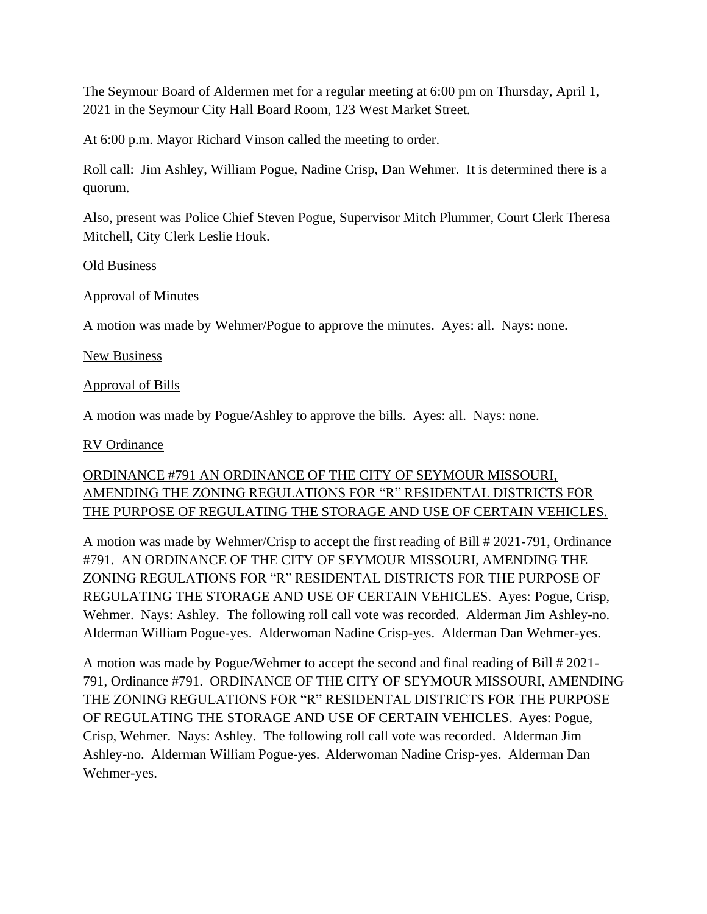The Seymour Board of Aldermen met for a regular meeting at 6:00 pm on Thursday, April 1, 2021 in the Seymour City Hall Board Room, 123 West Market Street.

At 6:00 p.m. Mayor Richard Vinson called the meeting to order.

Roll call: Jim Ashley, William Pogue, Nadine Crisp, Dan Wehmer. It is determined there is a quorum.

Also, present was Police Chief Steven Pogue, Supervisor Mitch Plummer, Court Clerk Theresa Mitchell, City Clerk Leslie Houk.

#### Old Business

#### Approval of Minutes

A motion was made by Wehmer/Pogue to approve the minutes. Ayes: all. Nays: none.

#### New Business

### Approval of Bills

A motion was made by Pogue/Ashley to approve the bills. Ayes: all. Nays: none.

### RV Ordinance

# ORDINANCE #791 AN ORDINANCE OF THE CITY OF SEYMOUR MISSOURI, AMENDING THE ZONING REGULATIONS FOR "R" RESIDENTAL DISTRICTS FOR THE PURPOSE OF REGULATING THE STORAGE AND USE OF CERTAIN VEHICLES.

A motion was made by Wehmer/Crisp to accept the first reading of Bill # 2021-791, Ordinance #791. AN ORDINANCE OF THE CITY OF SEYMOUR MISSOURI, AMENDING THE ZONING REGULATIONS FOR "R" RESIDENTAL DISTRICTS FOR THE PURPOSE OF REGULATING THE STORAGE AND USE OF CERTAIN VEHICLES. Ayes: Pogue, Crisp, Wehmer. Nays: Ashley. The following roll call vote was recorded. Alderman Jim Ashley-no. Alderman William Pogue-yes. Alderwoman Nadine Crisp-yes. Alderman Dan Wehmer-yes.

A motion was made by Pogue/Wehmer to accept the second and final reading of Bill # 2021- 791, Ordinance #791. ORDINANCE OF THE CITY OF SEYMOUR MISSOURI, AMENDING THE ZONING REGULATIONS FOR "R" RESIDENTAL DISTRICTS FOR THE PURPOSE OF REGULATING THE STORAGE AND USE OF CERTAIN VEHICLES. Ayes: Pogue, Crisp, Wehmer. Nays: Ashley. The following roll call vote was recorded. Alderman Jim Ashley-no. Alderman William Pogue-yes. Alderwoman Nadine Crisp-yes. Alderman Dan Wehmer-yes.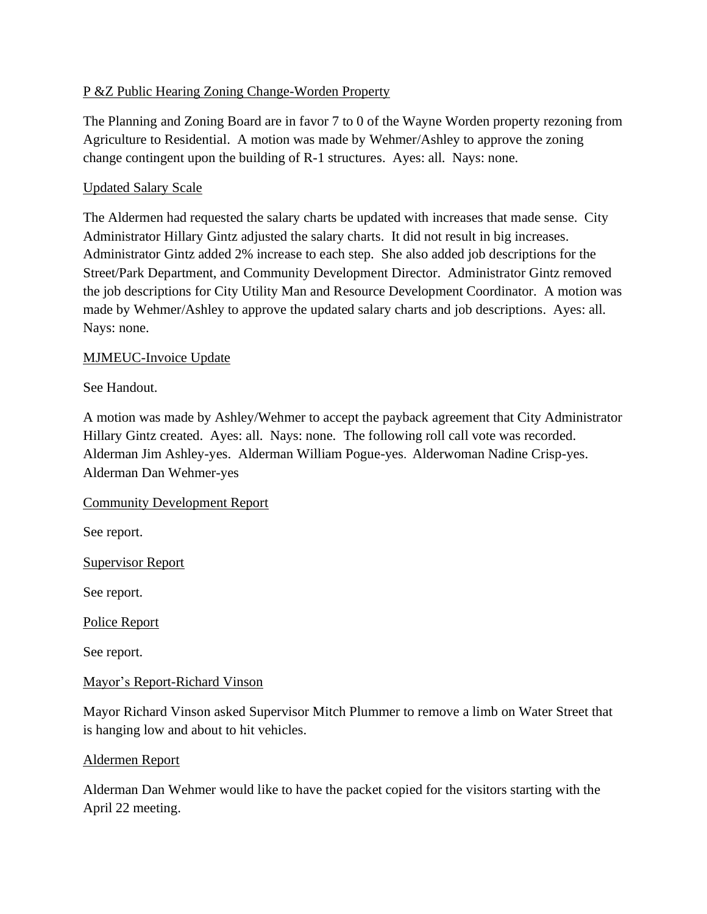# P &Z Public Hearing Zoning Change-Worden Property

The Planning and Zoning Board are in favor 7 to 0 of the Wayne Worden property rezoning from Agriculture to Residential. A motion was made by Wehmer/Ashley to approve the zoning change contingent upon the building of R-1 structures. Ayes: all. Nays: none.

## Updated Salary Scale

The Aldermen had requested the salary charts be updated with increases that made sense. City Administrator Hillary Gintz adjusted the salary charts. It did not result in big increases. Administrator Gintz added 2% increase to each step. She also added job descriptions for the Street/Park Department, and Community Development Director. Administrator Gintz removed the job descriptions for City Utility Man and Resource Development Coordinator. A motion was made by Wehmer/Ashley to approve the updated salary charts and job descriptions. Ayes: all. Nays: none.

# MJMEUC-Invoice Update

See Handout.

A motion was made by Ashley/Wehmer to accept the payback agreement that City Administrator Hillary Gintz created. Ayes: all. Nays: none. The following roll call vote was recorded. Alderman Jim Ashley-yes. Alderman William Pogue-yes. Alderwoman Nadine Crisp-yes. Alderman Dan Wehmer-yes

### Community Development Report

See report.

Supervisor Report

See report.

Police Report

See report.

### Mayor's Report-Richard Vinson

Mayor Richard Vinson asked Supervisor Mitch Plummer to remove a limb on Water Street that is hanging low and about to hit vehicles.

### Aldermen Report

Alderman Dan Wehmer would like to have the packet copied for the visitors starting with the April 22 meeting.